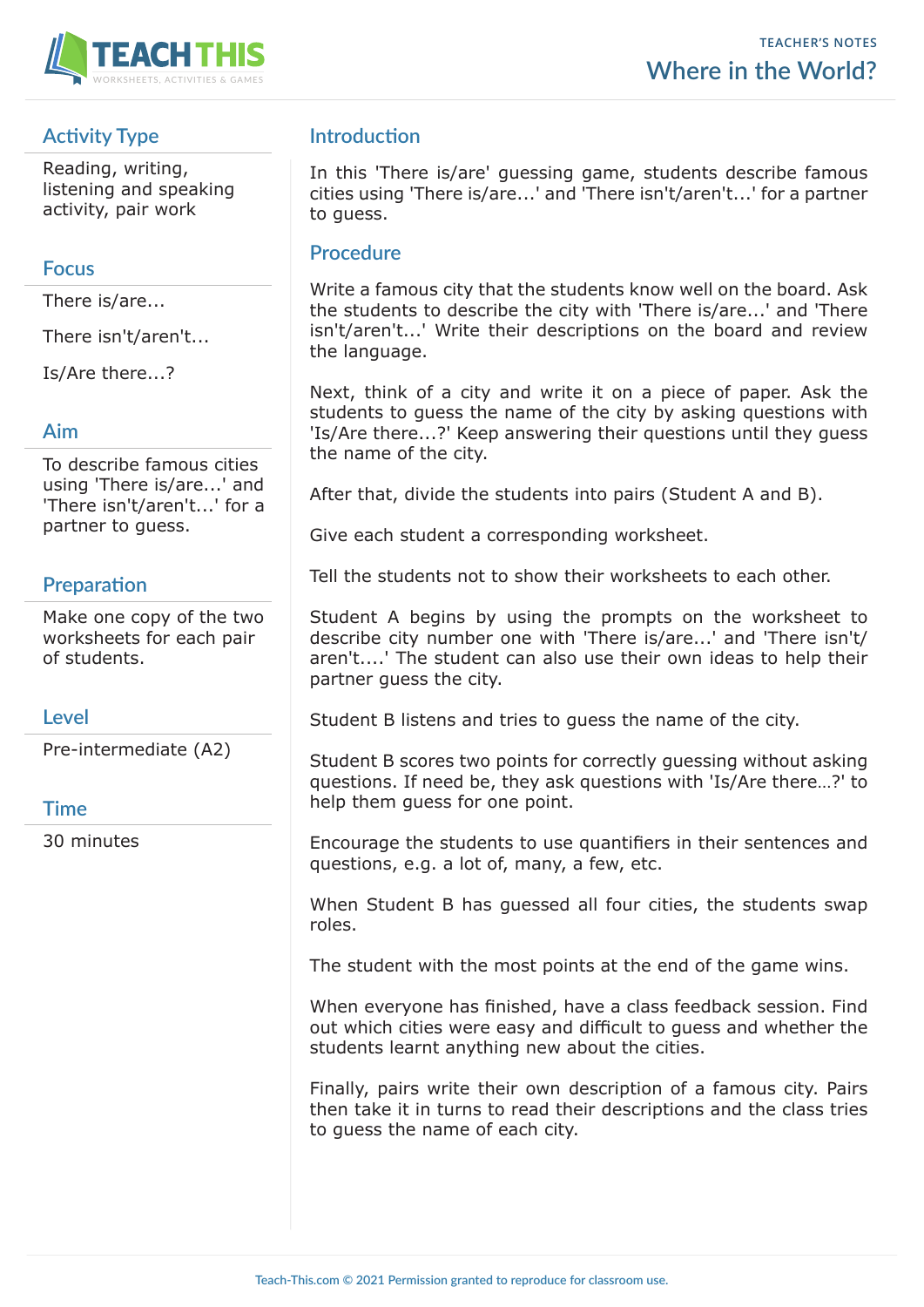

# **Activity Type**

Reading, writing, listening and speaking activity, pair work

### **Focus**

There is/are...

There isn't/aren't...

Is/Are there...?

#### **Aim**

To describe famous cities using 'There is/are...' and 'There isn't/aren't...' for a partner to guess.

# **Preparation**

Make one copy of the two worksheets for each pair of students.

#### **Level**

Pre-intermediate (A2)

## **Time**

30 minutes

# **Introduction**

In this 'There is/are' guessing game, students describe famous cities using 'There is/are...' and 'There isn't/aren't...' for a partner to guess.

### **Procedure**

Write a famous city that the students know well on the board. Ask the students to describe the city with 'There is/are...' and 'There isn't/aren't...' Write their descriptions on the board and review the language.

Next, think of a city and write it on a piece of paper. Ask the students to guess the name of the city by asking questions with 'Is/Are there...?' Keep answering their questions until they guess the name of the city.

After that, divide the students into pairs (Student A and B).

Give each student a corresponding worksheet.

Tell the students not to show their worksheets to each other.

Student A begins by using the prompts on the worksheet to describe city number one with 'There is/are...' and 'There isn't/ aren't....' The student can also use their own ideas to help their partner guess the city.

Student B listens and tries to guess the name of the city.

Student B scores two points for correctly guessing without asking questions. If need be, they ask questions with 'Is/Are there…?' to help them guess for one point.

Encourage the students to use quantifiers in their sentences and questions, e.g. a lot of, many, a few, etc.

When Student B has guessed all four cities, the students swap roles.

The student with the most points at the end of the game wins.

When everyone has finished, have a class feedback session. Find out which cities were easy and difficult to guess and whether the students learnt anything new about the cities.

Finally, pairs write their own description of a famous city. Pairs then take it in turns to read their descriptions and the class tries to guess the name of each city.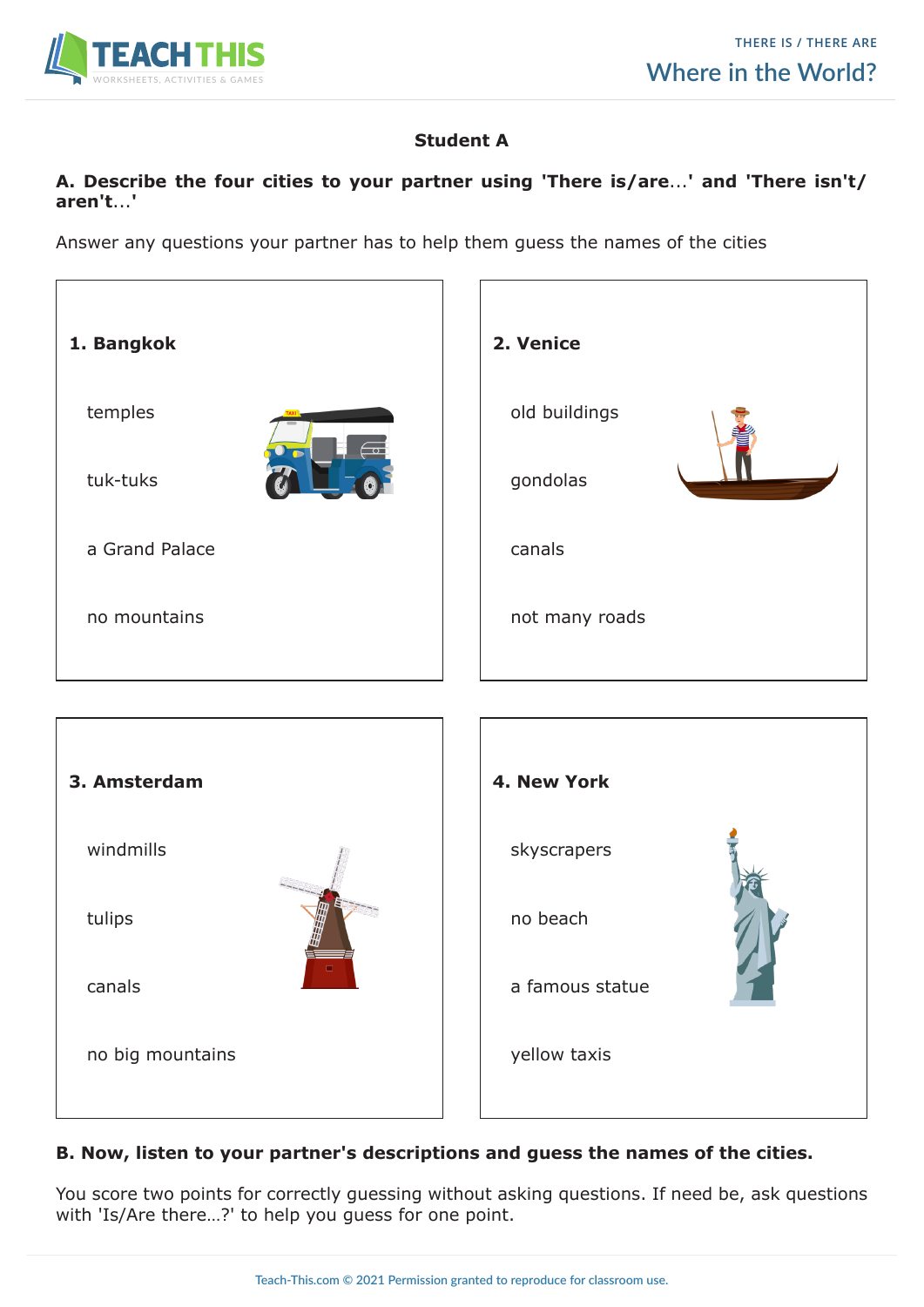

## **Student A**

#### **A. Describe the four cities to your partner using 'There is/are**...**' and 'There isn't/ aren't**...**'**

Answer any questions your partner has to help them guess the names of the cities



## **B. Now, listen to your partner's descriptions and guess the names of the cities.**

You score two points for correctly guessing without asking questions. If need be, ask questions with 'Is/Are there…?' to help you guess for one point.